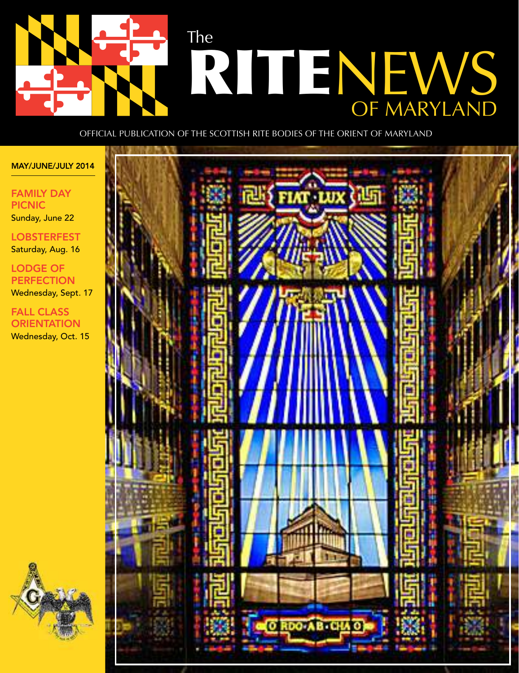

Official PublicatiOn Of the ScOttiSh Rite bOdieS Of the ORient Of MaRyland

#### MAY/JUNE/JULY 2014

FAMILY DAY PICNIC Sunday, June 22

**LOBSTERFEST** Saturday, Aug. 16

LODGE OF PERFECTION Wednesday, Sept. 17

FALL CLASS **ORIENTATION** Wednesday, Oct. 15



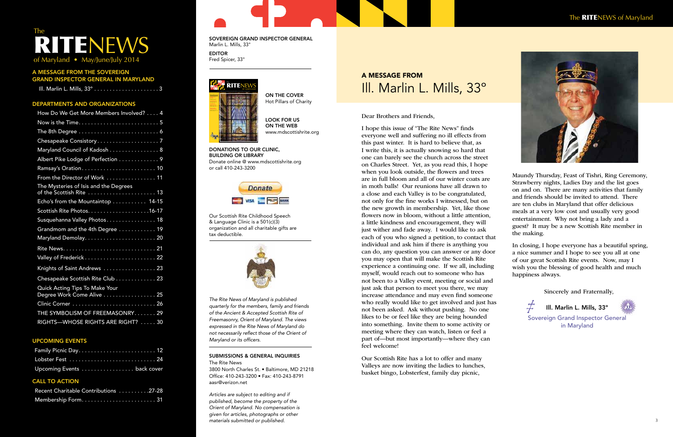A MESSAGE FROM THE SOVEREIGN GRAND INSPECTOR GENERAL IN MARYLAND

|--|

#### DEPARTMENTS AND ORGANIZATIONS

| How Do We Get More Members Involved? 4                      |
|-------------------------------------------------------------|
|                                                             |
|                                                             |
|                                                             |
| Maryland Council of Kadosh 8                                |
| Albert Pike Lodge of Perfection 9                           |
|                                                             |
| From the Director of Work  11                               |
| The Mysteries of Isis and the Degrees                       |
| Echo's from the Mountaintop 14-15                           |
|                                                             |
| Susquehanna Valley Photos 18                                |
| Grandmom and the 4th Degree 19                              |
|                                                             |
|                                                             |
|                                                             |
| Knights of Saint Andrews  23                                |
| Chesapeake Scottish Rite Club 23                            |
| Quick Acting Tips To Make Your<br>Degree Work Come Alive 25 |
|                                                             |
| THE SYMBOLISM OF FREEMASONRY29                              |
| RIGHTS-WHOSE RIGHTS ARE RIGHT?  30                          |

#### UPCOMING EVENTS

2 3 materials submitted or published. Articles are subject to editing and if published, become the property of the Orient of Maryland. No compensation is given for articles, photographs or other

## The TENEWS of Maryland • May/June/July 2014

| Lobster Fest  24            |  |
|-----------------------------|--|
| Upcoming Events  back cover |  |

#### CALL TO ACTION

| Recent Charitable Contributions 27-28 |  |
|---------------------------------------|--|
|                                       |  |

#### SOVEREIGN GRAND INSPECTOR GENERAL Marlin L. Mills, 33°

EDITOR Fred Spicer, 33°

> ON THE COVER Hot Pillars of Charity

LOOK FOR US ON THE WEB www.mdscottishrite.org

DONATIONS TO OUR CLINIC, BUILDING OR LIBRARY Donate online @ www.mdscottishrite.org or call 410-243-3200

> **Donate** VISA **ENGLYM** BANK

Our Scottish Rite Childhood Speech & Language Clinic is a 501(c)(3) organization and all charitable gifts are tax deductible.



The Rite News of Maryland is published quarterly for the members, family and friends of the Ancient & Accepted Scottish Rite of Freemasonry, Orient of Maryland. The views expressed in the Rite News of Maryland do not necessarily reflect those of the Orient of Maryland or its officers.

#### SUBMISSIONS & GENERAL INQUIRIES The Rite News

3800 North Charles St. • Baltimore, MD 21218 Ofice: 410-243-3200 • Fax: 410-243-8791 aasr@verizon.net

 $\neq$ Sovereign Grand Inspector General in Maryland



Dear Brothers and Friends,

I hope this issue of "The Rite News" finds everyone well and suffering no ill effects from this past winter. It is hard to believe that, as I write this, it is actually snowing so hard that one can barely see the church across the street on Charles Street. Yet, as you read this, I hope when you look outside, the flowers and trees are in full bloom and all of our winter coats are in moth balls! Our reunions have all drawn to a close and each Valley is to be congratulated, not only for the fine works I witnessed, but on the new growth in membership. Yet, like those flowers now in bloom, without a little attention, a little kindness and encouragement, they will just wither and fade away. I would like to ask each of you who signed a petition, to contact that individual and ask him if there is anything you can do, any question you can answer or any door you may open that will make the Scottish Rite experience a continuing one. If we all, including myself, would reach out to someone who has not been to a Valley event, meeting or social and just ask that person to meet you there, we may increase attendance and may even find someone who really would like to get involved and just has not been asked. Ask without pushing. No one likes to be or feel like they are being hounded into something. Invite them to some activity or meeting where they can watch, listen or feel a part of—but most importantly—where they can feel welcome!

Our Scottish Rite has a lot to offer and many Valleys are now inviting the ladies to lunches, basket bingo, Lobsterfest, family day picnic,



Maundy Thursday, Feast of Tishri, Ring Ceremony, Strawberry nights, Ladies Day and the list goes on and on. There are many activities that family and friends should be invited to attend. There are ten clubs in Maryland that offer delicious meals at a very low cost and usually very good entertainment. Why not bring a lady and a guest? It may be a new Scottish Rite member in the making.

In closing, I hope everyone has a beautiful spring, a nice summer and I hope to see you all at one of our great Scottish Rite events. Now, may I wish you the blessing of good health and much happiness always.

## A MESSAGE FROM Ill. Marlin L. Mills, 33º

Ill. Marlin L. Mills, 33º

Sincerely and Fraternally,

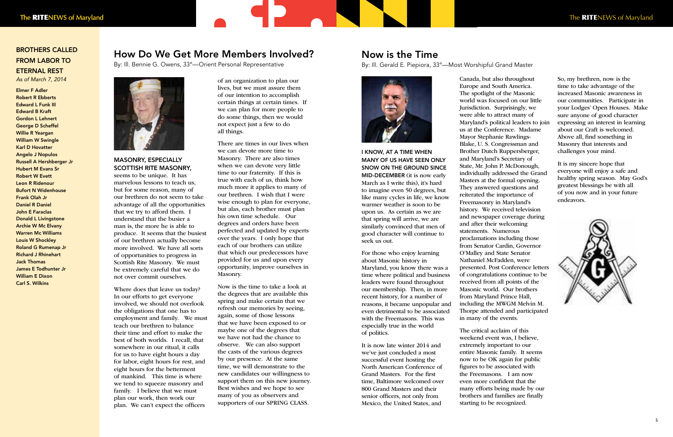#### How Do We Get More Members Involved?

By: Ill. Bennie G. Owens, 33°—Orient Personal Representative



#### MASONRY, ESPECIALLY SCOTTISH RITE MASONRY,

seems to be unique. It has marvelous lessons to teach us, but for some reason, many of our brethren do not seem to take advantage of all the opportunities that we try to afford them. I understand that the busier a man is, the more he is able to produce. It seems that the busiest of our brethren actually become more involved. We have all sorts of opportunities to progress in Scottish Rite Masonry. We must be extremely careful that we do not over commit ourselves.

Where does that leave us today? In our efforts to get everyone involved, we should not overlook the obligations that one has to employment and family. We must teach our brethren to balance their time and effort to make the best of both worlds. I recall, that somewhere in our ritual, it calls for us to have eight hours a day for labor, eight hours for rest, and eight hours for the betterment of mankind. This time is where we tend to squeeze masonry and family. I believe that we must plan our work, then work our plan. We can't expect the officers

of an organization to plan our lives, but we must assure them of our intention to accomplish certain things at certain times. If we can plan for more people to do some things, then we would not expect just a few to do all things.

There are times in our lives when we can devote more time to Masonry. There are also times when we can devote very little time to our fraternity. If this is true with each of us, think how much more it applies to many of our brethren. I wish that I were wise enough to plan for everyone, but alas, each brother must plan his own time schedule. Our degrees and orders have been perfected and updated by experts over the years. I only hope that each of our brothers can utilize that which our predecessors have provided for us and upon every opportunity, improve ourselves in Masonry.

Now is the time to take a look at the degrees that are available this spring and make certain that we refresh our memories by seeing, again, some of those lessons that we have been exposed to or maybe one of the degrees that we have not had the chance to observe. We can also support the casts of the various degrees by our presence. At the same time, we will demonstrate to the new candidates our willingness to support them on this new journey. Best wishes and we hope to see many of you as observers and supporters of our SPRING CLASS.

I KNOW, AT A TIME WHEN MANY OF US HAVE SEEN ONLY SNOW ON THE GROUND SINCE MID-DECEMBER (it is now early March as I write this), it's hard to imagine even 50 degrees, but like many cycles in life, we know warmer weather is soon to be upon us. As certain as we are that spring will arrive, we are similarly convinced that men of good character will continue to seek us out.

For those who enjoy learning about Masonic history in Maryland, you know there was a time where political and business leaders were found throughout our membership. Then, in more recent history, for a number of reasons, it became unpopular and even detrimental to be associated with the Freemasons. This was especially true in the world of politics.

It is now late winter 2014 and we've just concluded a most successful event hosting the North American Conference of Grand Masters. For the first time, Baltimore welcomed over 800 Grand Masters and their senior officers, not only from Mexico, the United States, and

Canada, but also throughout Europe and South America. The spotlight of the Masonic world was focused on our little Jurisdiction. Surprisingly, we were able to attract many of Maryland's political leaders to join us at the Conference. Madame Mayor Stephanie Rawlings-Blake, U. S. Congressman and Brother Dutch Ruppersberger, and Maryland's Secretary of State, Mr. John P. McDonough, individually addressed the Grand Masters at the formal opening. They answered questions and reiterated the importance of Freemasonry in Maryland's history. We received television and newspaper coverage during and after their welcoming statements. Numerous proclamations including those from Senator Cardin, Governor O'Malley and State Senator Nathaniel McFadden, were presented. Post Conference letters of congratulations continue to be received from all points of the Masonic world. Our brothers from Maryland Prince Hall, including the MWGM Melvin M. Thorpe attended and participated in many of the events.

The critical acclaim of this weekend event was, I believe, extremely important to our entire Masonic family. It seems now to be OK again for public figures to be associated with the Freemasons. I am now even more confident that the many efforts being made by our brothers and families are finally starting to be recognized.

So, my brethren, now is the time to take advantage of the increased Masonic awareness in our communities. Participate in your Lodges' Open Houses. Make sure anyone of good character expressing an interest in learning about our Craft is welcomed. Above all, find something in Masonry that interests and challenges your mind.

It is my sincere hope that everyone will enjoy a safe and healthy spring season. May God's greatest blessings be with all of you now and in your future endeavors.



#### Now is the Time

By: Ill. Gerald E. Piepiora, 33°—Most Worshipful Grand Master



#### BROTHERS CALLED FROM LABOR TO ETERNAL REST

As of March 7, 2014

Elmer F Adler Robert R Ebberts Edward L Funk III Edward B Kraft Gordon L Lehnert George D Scheffel Willie R Yeargan William W Swingle Karl D Hovatter Angelo J Nopulos Russell A Hershberger Jr Hubert M Evans Sr Robert W Evett Leon R Ridenour Bufort N Widenhouse Frank Olah Jr Daniel R Daniel John E Faraclas Donald L Livingstone Archie W Mc Elvany Warren Mc Williams Louis W Shockley Roland G Rumenap Jr Richard J Rhinehart Jack Thomas James E Todhunter Jr William E Dixon Carl S. Wilkins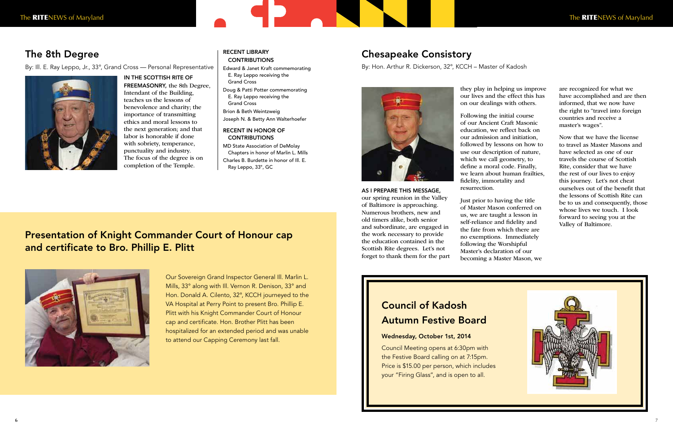AS I PREPARE THIS MESSAGE, our spring reunion in the Valley of Baltimore is approaching. Numerous brothers, new and old timers alike, both senior and subordinate, are engaged in the work necessary to provide the education contained in the Scottish Rite degrees. Let's not forget to thank them for the part they play in helping us improve our lives and the effect this has on our dealings with others.

Following the initial course of our Ancient Craft Masonic education, we reflect back on our admission and initiation, followed by lessons on how to use our description of nature, which we call geometry, to define a moral code. Finally, we learn about human frailties, fidelity, immortality and resurrection.

Just prior to having the title of Master Mason conferred on us, we are taught a lesson in self-reliance and fidelity and the fate from which there are no exemptions. Immediately following the Worshipful Master's declaration of our becoming a Master Mason, we are recognized for what we have accomplished and are then informed, that we now have the right to "travel into foreign countries and receive a master's wages".

Now that we have the license to travel as Master Masons and have selected as one of our travels the course of Scottish Rite, consider that we have the rest of our lives to enjoy this journey. Let's not cheat ourselves out of the benefit that the lessons of Scottish Rite can be to us and consequently, those whose lives we touch. I look forward to seeing you at the Valley of Baltimore.



#### RECENT LIBRARY **CONTRIBUTIONS**

#### RECENT IN HONOR OF **CONTRIBUTIONS**

## Chesapeake Consistory

By: Hon. Arthur R. Dickerson, 32°, KCCH – Master of Kadosh



## Council of Kadosh Autumn Festive Board

#### Wednesday, October 1st, 2014

Council Meeting opens at 6:30pm with the Festive Board calling on at 7:15pm. Price is \$15.00 per person, which includes your "Firing Glass", and is open to all.

Our Sovereign Grand Inspector General Ill. Marlin L. Mills, 33° along with Ill. Vernon R. Denison, 33° and Hon. Donald A. Cilento, 32°, KCCH journeyed to the VA Hospital at Perry Point to present Bro. Phillip E. Plitt with his Knight Commander Court of Honour cap and certificate. Hon. Brother Plitt has been hospitalized for an extended period and was unable to attend our Capping Ceremony last fall.

#### The 8th Degree

By: Ill. E. Ray Leppo, Jr., 33°, Grand Cross — Personal Representative



IN THE SCOTTISH RITE OF

FREEMASONRY, the 8th Degree, Intendant of the Building, teaches us the lessons of benevolence and charity; the importance of transmitting ethics and moral lessons to the next generation; and that labor is honorable if done with sobriety, temperance, punctuality and industry. The focus of the degree is on completion of the Temple.

### Presentation of Knight Commander Court of Honour cap and certificate to Bro. Phillip E. Plitt



Edward & Janet Kraft commemorating E. Ray Leppo receiving the Grand Cross

Doug & Patti Potter commemorating E. Ray Leppo receiving the Grand Cross

Brion & Beth Weintzweig

Joseph N. & Betty Ann Walterhoefer

MD State Association of DeMolay Chapters in honor of Marlin L. Mills

Charles B. Burdette in honor of Ill. E.

Ray Leppo, 33°, GC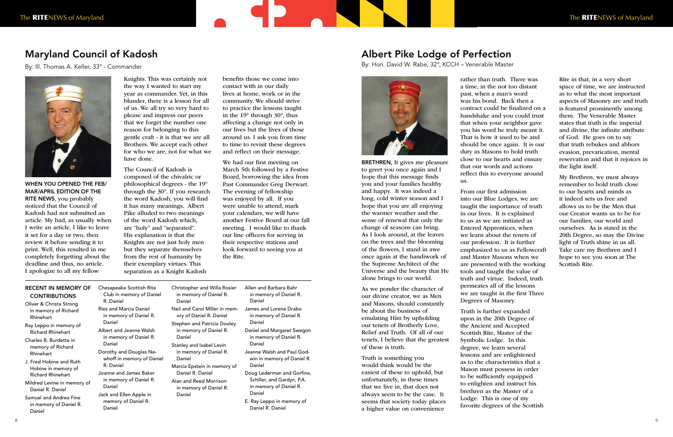# The RITENEWS of Maryland The RITENEWS of Maryland

WHEN YOU OPENED THE FEB/ MAR/APRIL EDITION OF THE RITE NEWS, you probably noticed that the Council of Kadosh had not submitted an article. My bad, as usually when I write an article, I like to leave it set for a day or two, then review it before sending it to print. Well, this resulted in me completely forgetting about the deadline and thus, no article. I apologize to all my fellow

Knights. This was certainly not the way I wanted to start my year as commander. Yet, in this blunder, there is a lesson for all of us. We all try so very hard to please and impress our peers that we forget the number one reason for belonging to this gentle craft - it is that we are all Brothers. We accept each other for who we are, not for what we have done.

The Council of Kadosh is composed of the chivalric or philosophical degrees - the 19° through the 30°. If you research the word Kadosh, you will find it has many meanings. Albert Pike alluded to two meanings of the word Kadosh which, are "holy" and "separated". His explanation is that the Knights are not just holy men but they separate themselves from the rest of humanity by their exemplary virtues. This separation as a Knight Kadosh

benefits those we come into contact with in our daily lives at home, work or in the community. We should strive to practice the lessons taught in the 19° through 30°, thus affecting a change not only in our lives but the lives of those around us. I ask you from time to time to revisit these degrees and reflect on their message.

We had our first meeting on March 5th followed by a Festive Board, borrowing the idea from Past Commander Greg Derwart. The evening of fellowship was enjoyed by all. If you were unable to attend, mark your calendars, we will have another Festive Board at our fall meeting. I would like to thank our line officers for serving in their respective stations and look forward to seeing you at the Rite.

## Maryland Council of Kadosh

By: Ill. Thomas A. Keller, 33° - Commander



BRETHREN, It gives me pleasure to greet you once again and I hope that this message finds you and your families healthy and happy. It was indeed a long, cold winter season and I hope that you are all enjoying the warmer weather and the sense of renewal that only the change of seasons can bring. As I look around, at the leaves on the trees and the blooming of the flowers, I stand in awe once again at the handiwork of the Supreme Architect of the Universe and the beauty that He alone brings to our world.

As we ponder the character of our divine creator, we as Men and Masons, should constantly be about the business of emulating Him by upholding our tenets of Brotherly Love, Relief and Truth. Of all of our tenets, I believe that the greatest of these is truth.

Truth is something you would think would be the easiest of these to uphold, but unfortunately, in these times that we live in, that does not always seem to be the case. It seems that society today places a higher value on convenience

rather than truth. There was a time, in the not too distant past, when a man's word was his bond. Back then a contract could be finalized on a handshake and you could trust that when your neighbor gave you his word he truly meant it. That is how it used to be and should be once again. It is our duty as Masons to hold truth close to our hearts and ensure that our words and actions reflect this to everyone around us.

From our first admission into our Blue Lodges, we are taught the importance of truth in our lives. It is explained to us as we are initiated as Entered Apprentices, when we learn about the tenets of our profession. It is further emphasized to us as Fellowcraft and Master Masons when we are presented with the working tools and taught the value of truth and virtue. Indeed, truth permeates all of the lessons we are taught in the first Three Degrees of Masonry.

Truth is further expanded upon in the 20th Degree of the Ancient and Accepted Scottish Rite, Master of the Symbolic Lodge. In this degree, we learn several lessons and are enlightened as to the characteristics that a Mason must possess in order to be sufficiently equipped to enlighten and instruct his brethren as the Master of a Lodge. This is one of my favorite degrees of the Scottish Rite in that, in a very short space of time, we are instructed as to what the most important aspects of Masonry are and truth is featured prominently among them. The Venerable Master states that truth is the imperial and divine, the infinite attribute of God. He goes on to say that truth rebukes and abhors evasion, prevarication, mental reservation and that it rejoices in the light itself.

My Brethren, we must always remember to hold truth close to our hearts and minds as it indeed sets us free and allows us to be the Men that our Creator wants us to be for our families, our world and ourselves. As is stated in the 20th Degree, so may the Divine light of Truth shine in us all. Take care my Brethren and I hope to see you soon at The Scottish Rite.

#### Albert Pike Lodge of Perfection

By: Hon. David W. Rabe, 32°, KCCH – Venerable Master



| RECENT IN MEMORY OF  | -Ch |
|----------------------|-----|
| <b>CONTRIBUTIONS</b> |     |
|                      |     |

- Oliver & Christa Strong in memory of Richard Rhinehart
- Ray Leppo in memory of Richard Rhinehart Charles B. Burdette in
- memory of Richard Rhinehart
- J. Fred Hobine and Ruth Hobine in memory of Richard Rhinehart
- Mildred Levine in memory of Daniel R. Daniel
- Samuel and Andrea Fine in memory of Daniel R. Daniel
- esapeake Scottish Rite Club in memory of Daniel R. Daniel Ries and Marcia Daniel in memory of Daniel R. Daniel Albert and Jeanne Walsh in memory of Daniel R. Daniel Dorothy and Douglas Newhoff in memory of Daniel R. Daniel Joanne and James Baker in memory of Daniel R. Daniel Jack and Ellen Apple in memory of Daniel R. Daniel

| Christopher and Willa Rosier  | Allen and Barbara Bahr    |
|-------------------------------|---------------------------|
| in memory of Daniel R.        | in memory of Daniel R.    |
| Daniel                        | Daniel                    |
| Neil and Carol Miller in mem- | James and Lorene Drabo    |
| ory of Daniel R. Daniel       | in memory of Daniel R.    |
| Stephen and Patricia Dooley   | Daniel                    |
| in memory of Daniel R.        | Daniel and Margaret Swe   |
| Daniel                        | in memory of Daniel R.    |
| Stanley and Isabel Levin      | Daniel                    |
| in memory of Daniel R.        | Jeanne Walsh and Paul G   |
| Daniel                        | win in memory of Danie    |
| Marcia Epstein in memory of   | Daniel                    |
| Daniel R. Daniel              | Doug Lederman and Gorf    |
| Alan and Reed Morrison        | Schiller, and Gardyn, P.A |
| in memory of Daniel R.        | in memory of Daniel R.    |
| Daniel                        | Daniel                    |

in memory of Daniel R. Daniel aniel and Margaret Swegon in memory of Daniel R. Daniel eanne Walsh and Paul Godwin in memory of Daniel R. Daniel oug Lederman and Gorfine, Schiller, and Gardyn, P.A. in memory of Daniel R. Daniel E. Ray Leppo in memory of

Daniel R. Daniel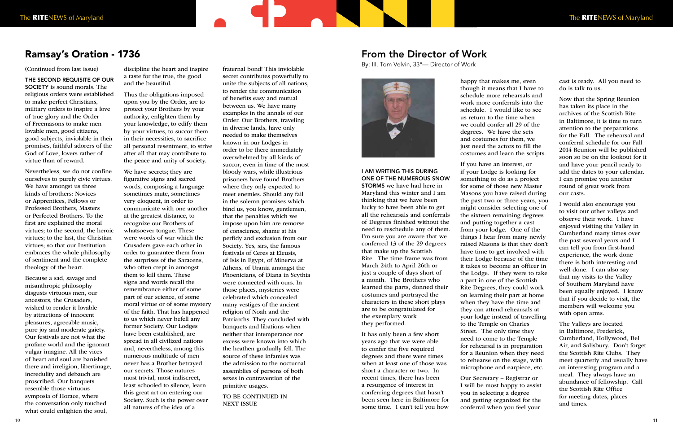(Continued from last issue)

THE SECOND REQUISITE OF OUR SOCIETY is sound morals. The religious orders were established to make perfect Christians, military orders to inspire a love of true glory and the Order of Freemasons to make men lovable men, good citizens, good subjects, inviolable in their promises, faithful adorers of the God of Love, lovers rather of virtue than of reward.

Nevertheless, we do not confine ourselves to purely civic virtues. We have amongst us three kinds of brothers: Novices or Apprentices, Fellows or Professed Brothers, Masters or Perfected Brothers. To the first are explained the moral virtues; to the second, the heroic virtues; to the last, the Christian virtues; so that our Institution embraces the whole philosophy of sentiment and the complete theology of the heart.

Because a sad, savage and misanthropic philosophy disgusts virtuous men, our ancestors, the Crusaders, wished to render it lovable by attractions of innocent pleasures, agreeable music, pure joy and moderate gaiety. Our festivals are not what the profane world and the ignorant vulgar imagine. All the vices of heart and soul are banished there and irreligion, libertinage, incredulity and debauch are proscribed. Our banquets resemble those virtuous symposia of Horace, where the conversation only touched what could enlighten the soul,

discipline the heart and inspire a taste for the true, the good and the beautiful.

Thus the obligations imposed upon you by the Order, are to protect your Brothers by your authority, enlighten them by your knowledge, to edify them by your virtues, to succor them in their necessities, to sacrifice all personal resentment, to strive after all that may contribute to the peace and unity of society.

We have secrets; they are figurative signs and sacred words, composing a language sometimes mute, sometimes very eloquent, in order to communicate with one another at the greatest distance, to recognize our Brothers of whatsoever tongue. These were words of war which the Crusaders gave each other in order to guarantee them from the surprises of the Saracens, who often crept in amongst them to kill them. These signs and words recall the remembrance either of some part of our science, of some moral virtue or of some mystery of the faith. That has happened to us which never befell any former Society. Our Lodges have been established, are spread in all civilized nations and, nevertheless, among this numerous multitude of men never has a Brother betrayed our secrets. Those natures most trivial, most indiscreet, least schooled to silence, learn this great art on entering our Society. Such is the power over all natures of the idea of a

fraternal bond! This inviolable secret contributes powerfully to unite the subjects of all nations, to render the communication of benefits easy and mutual between us. We have many examples in the annals of our Order. Our Brothers, traveling in diverse lands, have only needed to make themselves known in our Lodges in order to be there immediately overwhelmed by all kinds of succor, even in time of the most bloody wars, while illustrious prisoners have found Brothers where they only expected to meet enemies. Should any fail in the solemn promises which bind us, you know, gentlemen, that the penalties which we impose upon him are remorse of conscience, shame at his perfidy and exclusion from our Society. Yes, sirs, the famous festivals of Ceres at Eleusis, of Isis in Egypt, of Minerva at Athens, of Urania amongst the Phoenicians, of Diana in Scythia were connected with ours. In those places, mysteries were celebrated which concealed many vestiges of the ancient religion of Noah and the Patriarchs. They concluded with banquets and libations when neither that intemperance nor excess were known into which the heathen gradually fell. The source of these infamies was the admission to the nocturnal assemblies of persons of both sexes in contravention of the primitive usages.

TO BE CONTINUED IN NEXT ISSUE

#### Ramsay's Oration - 1736

I AM WRITING THIS DURING ONE OF THE NUMEROUS SNOW STORMS we have had here in Maryland this winter and I am thinking that we have been lucky to have been able to get all the rehearsals and conferrals of Degrees finished without the need to reschedule any of them. I'm sure you are aware that we conferred 13 of the 29 degrees that make up the Scottish Rite. The time frame was from March 24th to April 26th or just a couple of days short of a month. The Brothers who learned the parts, donned their costumes and portrayed the characters in these short plays are to be congratulated for the exemplary work they performed.

It has only been a few short years ago that we were able to confer the five required degrees and there were times when at least one of those was short a character or two. In recent times, there has been a resurgence of interest in conferring degrees that hasn't been seen here in Baltimore for some time. I can't tell you how

happy that makes me, even though it means that I have to schedule more rehearsals and work more conferrals into the schedule. I would like to see us return to the time when we could confer all 29 of the degrees. We have the sets and costumes for them, we just need the actors to fill the costumes and learn the scripts.

If you have an interest, or if your Lodge is looking for something to do as a project for some of those new Master Masons you have raised during the past two or three years, you might consider selecting one of the sixteen remaining degrees and putting together a cast from your lodge. One of the things I hear from many newly raised Masons is that they don't have time to get involved with their Lodge because of the time it takes to become an officer in the Lodge. If they were to take a part in one of the Scottish Rite Degrees, they could work on learning their part at home when they have the time and they can attend rehearsals at your lodge instead of travelling to the Temple on Charles Street. The only time they need to come to the Temple for rehearsal is in preparation for a Reunion when they need to rehearse on the stage, with microphone and earpiece, etc.

Our Secretary – Registrar or I will be most happy to assist you in selecting a degree and getting organized for the conferral when you feel your

cast is ready. All you need to do is talk to us.

Now that the Spring Reunion has taken its place in the archives of the Scottish Rite in Baltimore, it is time to turn attention to the preparations for the Fall. The rehearsal and conferral schedule for our Fall 2014 Reunion will be published soon so be on the lookout for it and have your pencil ready to add the dates to your calendar. I can promise you another round of great work from our casts.

I would also encourage you to visit our other valleys and observe their work. I have enjoyed visiting the Valley in Cumberland many times over the past several years and I can tell you from first-hand experience, the work done there is both interesting and well done. I can also say that my visits to the Valley of Southern Maryland have been equally enjoyed. I know that if you decide to visit, the members will welcome you with open arms.

The Valleys are located in Baltimore, Frederick, Cumberland, Hollywood, Bel Air, and Salisbury. Don't forget the Scottish Rite Clubs. They meet quarterly and usually have an interesting program and a meal. They always have an abundance of fellowship. Call the Scottish Rite Office for meeting dates, places and times.

#### From the Director of Work

By: III. Tom Velvin, 33°— Director of Work

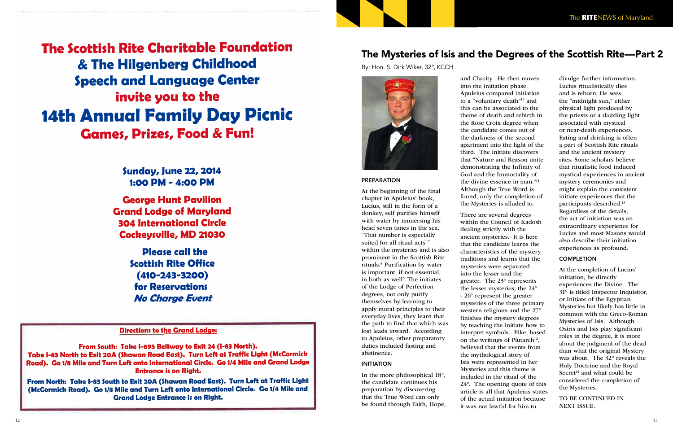**The Scottish Rite Charitable Foundation** & The Hilgenberg Childhood **Speech and Language Center** invite you to the **14th Annual Family Day Picnic Games, Prizes, Food & Fun!** 

> **Sunday, June 22, 2014** 1:00 PM - 4:00 PM

**George Hunt Pavilion Grand Lodge of Maryland 304 International Circle Cockeysville, MD 21030** 

> **Please call the Scottish Rite Office**  $(410 - 243 - 3200)$ **for Reservations No Charge Event**

**Directions to the Grand Lodge:** 

From South: Take I-695 Beltway to Exit 24 (I-83 North). Take I-83 North to Exit 20A (Shawan Road East). Turn Left at Traffic Light (McCormick Road). Go 1/8 Mile and Turn Left onto International Circle. Go 1/4 Mile and Grand Lodge **Entrance is on Right.** 

From North: Take I-83 South to Exit 20A (Shawan Road East). Turn Left at Traffic Light (McCormick Road). Go 1/8 Mile and Turn Left onto International Circle. Go 1/4 Mile and **Grand Lodge Entrance is on Right.** 

#### The Mysteries of Isis and the Degrees of the Scottish Rite—Part 2

By: Hon. S. Dirk Wiker, 32°, KCCH



PREPARATION

At the beginning of the final chapter in Apuleius' book,

Lucius, still in the form of a donkey, self purifies himself with water by immersing his head seven times in the sea. "That number is especially suited for all ritual acts" 7 within the mysteries and is also prominent in the Scottish Rite rituals. 8 Purification by water is important, if not essential, in both as well $\frac{9}{2}$  The initiates of the Lodge of Perfection degrees, not only purify themselves by learning to apply moral principles to their everyday lives, they learn that the path to find that which was lost leads inward. According to Apuleius, other preparatory duties included fasting and abstinence. INITIATION

In the more philosophical 18°, the candidate continues his preparation by discovering that the True Word can only be found through Faith, Hope, and Charity. He then moves into the initiation phase. Apuleius compared initiation to a "voluntary death"<sup>10</sup> and this can be associated to the theme of death and rebirth in the Rose Croix degree when the candidate comes out of the darkness of the second apartment into the light of the third. The initiate discovers that "Nature and Reason unite demonstrating the Infinity of God and the Immortality of the divine essence in man."<sup>11</sup> Although the True Word is found, only the completion of the Mysteries is alluded to.

There are several degrees within the Council of Kadosh dealing strictly with the ancient mysteries. It is here that the candidate learns the characteristics of the mystery traditions and learns that the mysteries were separated into the lesser and the greater. The 23° represents the lesser mysteries, the 24° - 26° represent the greater mysteries of the three primary western religions and the 27° finishes the mystery degrees by teaching the initiate how to interpret symbols. Pike, based on the writings of Plutarch<sup>12</sup>, believed that the events from the mythological story of Isis were represented in her Mysteries and this theme is included in the ritual of the 24°. The opening quote of this article is all that Apuleius states of the actual initiation because it was not lawful for him to

divulge further information. Lucius ritualistically dies and is reborn. He sees the "midnight sun," either physical light produced by the priests or a dazzling light associated with mystical or near-death experiences. Eating and drinking is often a part of Scottish Rite rituals and the ancient mystery rites. Some scholars believe that ritualistic food induced mystical experiences in ancient mystery ceremonies and might explain the consistent initiate experiences that the participants described. 13 Regardless of the details, the act of initiation was an extraordinary experience for Lucius and most Masons would also describe their initiation experiences as profound.

#### **COMPLETION**

At the completion of Lucius' initiation, he directly experiences the Divine. The 31° is titled Inspector Inquisitor, or Initiate of the Egyptian Mysteries but likely has little in common with the Greco-Roman Mysteries of Isis. Although Osiris and Isis play significant roles in the degree, it is more about the judgment of the dead than what the original Mystery was about. The 32° reveals the Holy Doctrine and the Royal Secret 14 and what could be considered the completion of the Mysteries.

TO BE CONTINUED IN NEXT ISSUE.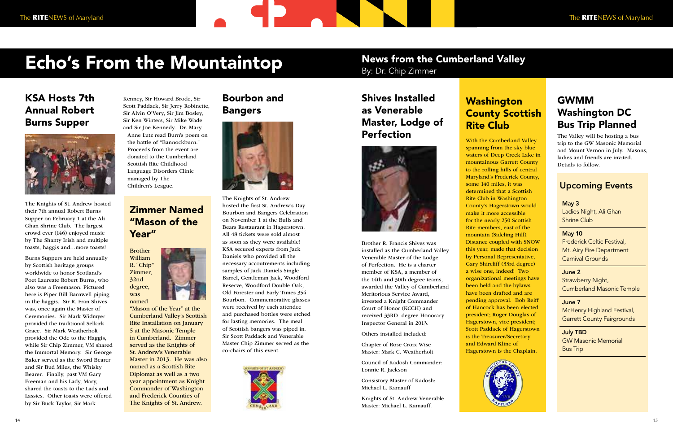# Echo's From the Mountaintop

#### Upcoming Events

May 3 Ladies Night, Ali Ghan Shrine Club

May 10 Frederick Celtic Festival, Mt. Airy Fire Department Carnival Grounds

June 2 Strawberry Night, Cumberland Masonic Temple

June 7 McHenry Highland Festival, Garrett County Fairgrounds

July TBD GW Masonic Memorial Bus Trip



was

"Mason of the Year" at the Cumberland Valley's Scottish Rite Installation on January 5 at the Masonic Temple in Cumberland. Zimmer served as the Knights of St. Andrew's Venerable Master in 2013. He was also named as a Scottish Rite Diplomat as well as a two year appointment as Knight Commander of Washington and Frederick Counties of The Knights of St. Andrew.

## News from the Cumberland Valley

By: Dr. Chip Zimmer

## KSA Hosts 7th Annual Robert Burns Supper



The Knights of St. Andrew hosted their 7th annual Robert Burns Supper on February 1 at the Ali Ghan Shrine Club. The largest crowd ever (146) enjoyed music by The Shanty Irish and multiple toasts, haggis and…more toasts!

Burns Suppers are held annually by Scottish heritage groups worldwide to honor Scotland's Poet Laureate Robert Burns, who also was a Freemason. Pictured here is Piper Bill Barnwell piping in the haggis. Sir R. Fran Shives was, once again the Master of Ceremonies. Sir Mark Widmyer provided the traditional Selkirk Grace. Sir Mark Weatherholt provided the Ode to the Haggis, while Sir Chip Zimmer, VM shared the Immortal Memory. Sir George Baker served as the Sword Bearer and Sir Bud Miles, the Whisky Bearer. Finally, past VM Gary Freeman and his Lady, Mary, shared the toasts to the Lads and Lassies. Other toasts were offered by Sir Buck Taylor, Sir Mark

## **Washington** Rite Club

The Knights of St. Andrew hosted the first St. Andrew's Day Bourbon and Bangers Celebration on November 1 at the Bulls and Bears Restaurant in Hagerstown. All 48 tickets were sold almost as soon as they were available! KSA secured experts from Jack Daniels who provided all the necessary accoutrements including samples of Jack Daniels Single Barrel, Gentleman Jack, Woodford Reserve, Woodford Double Oak, Old Forester and Early Times 354 Bourbon. Commemorative glasses were received by each attendee and purchased bottles were etched for lasting memories. The meal of Scottish bangers was piped in. Sir Scott Paddack and Venerable Master Chip Zimmer served as the co-chairs of this event.



## Zimmer Named "Mason of the Year"

## Bourbon and Bangers



Brother R. Francis Shives was installed as the Cumberland Valley Venerable Master of the Lodge of Perfection. He is a charter member of KSA, a member of the 14th and 30th degree teams, awarded the Valley of Cumberland Meritorious Service Award, invested a Knight Commander Court of Honor (KCCH) and received 33RD degree Honorary Inspector General in 2013.

Others installed included:

Chapter of Rose Croix Wise Master: Mark C. Weatherholt

Council of Kadosh Commander: Lonnie R. Jackson

Consistory Master of Kadosh: Michael L. Kamauff

Knights of St. Andrew Venerable Master: Michael L. Kamauff.

#### Shives Installed as Venerable Master, Lodge of Perfection



With the Cumberland Valley waters of Deep Creek Lake in mountainous Garrett County to the rolling hills of central Maryland's Frederick County, County's Hagerstown would Distance coupled with SNOW this year, made that decision organizational meetings have pending approval. Bob Reiff of Hancock has been elected president; Roger Douglas of Scott Paddack of Hagerstown

spanning from the sky blue some 140 miles, it was determined that a Scottish Rite Club in Washington make it more accessible for the nearly 250 Scottish Rite members, east of the mountain (Sideling Hill). by Personal Representative, Gary Shircliff (33rd degree) a wise one, indeed! Two been held and the bylaws have been drafted and are Hagerstown, vice president; is the Treasurer/Secretary and Edward Kline of Hagerstown is the Chaplain.



# County Scottish

## GWMM Washington DC Bus Trip Planned

The Valley will be hosting a bus trip to the GW Masonic Memorial and Mount Vernon in July. Masons, ladies and friends are invited. Details to follow.

Kenney, Sir Howard Brode, Sir Scott Paddack, Sir Jerry Robinette, Sir Alvin O'Very, Sir Jim Bosley, Sir Ken Winters, Sir Mike Wade and Sir Joe Kennedy. Dr. Mary

Anne Lutz read Burn's poem on the battle of "Bannockburn." Proceeds from the event are donated to the Cumberland Scottish Rite Childhood Language Disorders Clinic managed by The Children's League.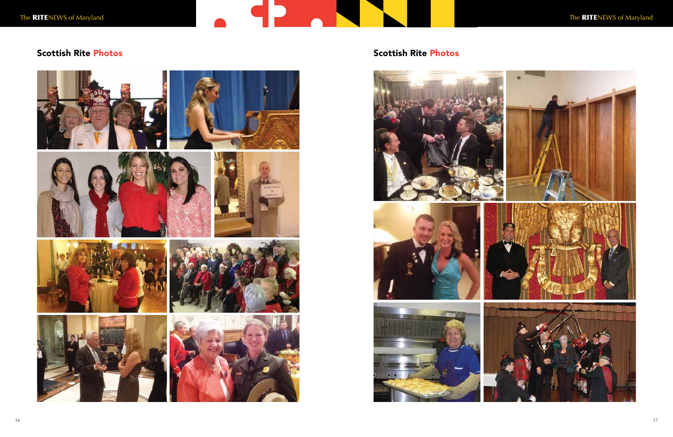# the RITENEWS of Maryland the RITENEWS of Maryland















## Scottish Rite Photos **Scottish Rite Photos** Scottish Rite Photos







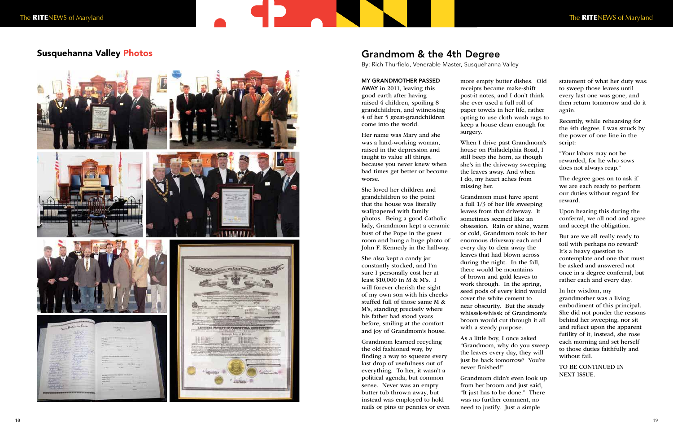#### MY GRANDMOTHER PASSED

AWAY in 2011, leaving this good earth after having raised 4 children, spoiling 8 grandchildren, and witnessing 4 of her 5 great-grandchildren come into the world.

Her name was Mary and she was a hard-working woman, raised in the depression and taught to value all things, because you never knew when bad times get better or become worse.

She loved her children and grandchildren to the point that the house was literally wallpapered with family photos. Being a good Catholic lady, Grandmom kept a ceramic bust of the Pope in the guest room and hung a huge photo of John F. Kennedy in the hallway.

She also kept a candy jar constantly stocked, and I'm sure I personally cost her at least \$10,000 in M & M's. I will forever cherish the sight of my own son with his cheeks stuffed full of those same M & M's, standing precisely where his father had stood years before, smiling at the comfort and joy of Grandmom's house.

Grandmom learned recycling the old fashioned way, by finding a way to squeeze every last drop of usefulness out of everything. To her, it wasn't a political agenda, but common sense. Never was an empty butter tub thrown away, but instead was employed to hold nails or pins or pennies or even more empty butter dishes. Old receipts became make-shift she ever used a full roll of surgery.

post-it notes, and I don't think paper towels in her life, rather opting to use cloth wash rags to keep a house clean enough for

When I drive past Grandmom's house on Philadelphia Road, I still beep the horn, as though she's in the driveway sweeping the leaves away. And when I do, my heart aches from missing her.

Grandmom must have spent a full 1/3 of her life sweeping leaves from that driveway. It sometimes seemed like an obsession. Rain or shine, warm or cold, Grandmom took to her enormous driveway each and every day to clear away the leaves that had blown across during the night. In the fall, there would be mountains of brown and gold leaves to work through. In the spring, seed pods of every kind would cover the white cement to near obscurity. But the steady whisssk-whissk of Grandmom's broom would cut through it all with a steady purpose.

As a little boy, I once asked "Grandmom, why do you sweep the leaves every day, they will just be back tomorrow? You're never finished!"

Grandmom didn't even look up from her broom and just said, "It just has to be done." There was no further comment, no need to justify. Just a simple

statement of what her duty was: to sweep those leaves until every last one was gone, and then return tomorrow and do it again.

Recently, while rehearsing for the 4th degree, I was struck by the power of one line in the script:

"Your labors may not be rewarded, for he who sows does not always reap."

The degree goes on to ask if we are each ready to perform our duties without regard for reward.

Upon hearing this during the conferral, we all nod and agree and accept the obligation.

But are we all really ready to toil with perhaps no reward? It's a heavy question to contemplate and one that must be asked and answered not once in a degree conferral, but rather each and every day.

In her wisdom, my grandmother was a living embodiment of this principal. She did not ponder the reasons behind her sweeping, nor sit and reflect upon the apparent futility of it; instead, she rose each morning and set herself to those duties faithfully and without fail.

TO BE CONTINUED IN NEXT ISSUE.

## Grandmom & the 4th Degree

By: Rich Thurfield, Venerable Master, Susquehanna Valley

#### Susquehanna Valley Photos

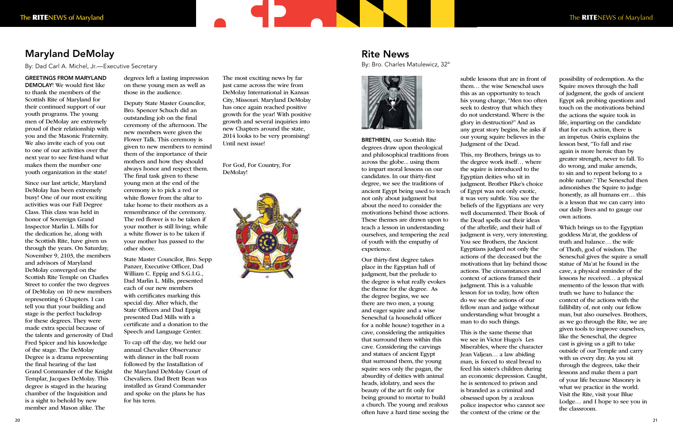By: Dad Carl A. Michel, Jr.—Executive Secretary

GREETINGS FROM MARYLAND DEMOLAY! We would first like to thank the members of the Scottish Rite of Maryland for their continued support of our youth programs. The young men of DeMolay are extremely proud of their relationship with you and the Masonic Fraternity. We also invite each of you out to one of our activities over the next year to see first-hand what makes them the number one youth organization in the state!

**Maryland DeMolay**<br>By: Dad Carl A. Michel, Jr.—Exee<br>GREETINGS FROM MARYLAND<br>DEMOLAY! We would first like<br>to thank the members of the<br>Scottish Rite of Maryland for<br>Scottish Rite of Maryland for<br>their continued support of o Since our last article, Maryland DeMolay has been extremely busy! One of our most exciting activities was our Fall Degree Class. This class was held in honor of Sovereign Grand Inspector Marlin L. Mills for the dedication he, along with the Scottish Rite, have given us through the years. On Saturday, November 9, 2103, the members and advisors of Maryland DeMolay converged on the Scottish Rite Temple on Charles Street to confer the two degrees of DeMolay on 10 new members representing 6 Chapters. I can tell you that your building and stage is the perfect backdrop for these degrees. They were made extra special because of the talents and generosity of Dad Fred Spicer and his knowledge of the stage. The DeMolay Degree is a drama representing the final hearing of the last Grand Commander of the Knight Templar, Jacques DeMolay. This degree is staged in the hearing chamber of the Inquisition and is a sight to behold by new member and Mason alike. The

degrees left a lasting impression on these young men as well as those in the audience.

Deputy State Master Councilor, Bro. Spencer Schuch did an outstanding job on the final ceremony of the afternoon. The new members were given the Flower Talk. This ceremony is given to new members to remind them of the importance of their mothers and how they should always honor and respect them. The final task given to these young men at the end of the ceremony is to pick a red or white flower from the altar to take home to their mothers as a remembrance of the ceremony. The red flower is to be taken if your mother is still living; while a white flower is to be taken if your mother has passed to the other shore.

State Master Councilor, Bro. Sepp Panzer, Executive Officer, Dad William C. Eppig and S.G.I.G., Dad Marlin L. Mills, presented each of our new members with certificates marking this special day. After which, the State Officers and Dad Eppig presented Dad Mills with a certificate and a donation to the Speech and Language Center.

To cap off the day, we held our annual Chevalier Observance with dinner in the ball room followed by the Installation of the Maryland DeMolay Court of Chevaliers. Dad Brett Bean was installed as Grand Commander and spoke on the plans he has for his term.

The most exciting news by far just came across the wire from DeMolay International in Kansas City, Missouri. Maryland DeMolay has once again reached positive growth for the year! With positive growth and several inquiries into new Chapters around the state, 2014 looks to be very promising! Until next issue!

**The Contract** 

For God, For Country, For DeMolay!



#### Rite News

By: Bro. Charles Matulewicz, 32°



BRETHREN, our Scottish Rite degrees draw upon theological and philosophical traditions from across the globe... using them to impart moral lessons on our candidates. In our thirty-first degree, we see the traditions of ancient Egypt being used to teach not only about judgment but about the need to consider the motivations behind those actions. These themes are drawn upon to teach a lesson in understanding ourselves, and tempering the zeal of youth with the empathy of experience.

Our thirty-first degree takes place in the Egyptian hall of judgment, but the prelude to the degree is what really evokes the theme for the degree. As the degree begins, we see there are two men, a young and eager squire and a wise Seneschal (a household officer for a noble house) together in a cave, considering the antiquities that surround them within this cave. Considering the carvings and statues of ancient Egypt that surround them, the young squire sees only the pagan, the absurdity of deities with animal heads, idolatry, and sees the beauty of the art fit only for being ground to mortar to build a church. The young and zealous often have a hard time seeing the

subtle lessons that are in front of them… the wise Seneschal uses this as an opportunity to teach his young charge, "Men too often seek to destroy that which they do not understand. Where is the glory in destruction?" And as any great story begins, he asks if our young squire believes in the Judgment of the Dead.

This, my Brothers, brings us to the degree work itself… where the squire is introduced to the Egyptian deities who sit in judgment. Brother Pike's choice of Egypt was not only exotic, it was very subtle. You see the beliefs of the Egyptians are very well documented. Their Book of the Dead spells out their ideas of the afterlife, and their hall of judgment is very, very interesting. You see Brothers, the Ancient Egyptians judged not only the actions of the deceased but the motivations that lay behind those actions. The circumstances and context of actions framed their judgment. This is a valuable lesson for us today, how often do we see the actions of our fellow man and judge without understanding what brought a man to do such things.

This is the same theme that we see in Victor Hugo's Les Miserables, where the character Jean Valjean… a law abiding man, is forced to steal bread to feed his sister's children during an economic depression. Caught, he is sentenced to prison and is branded as a criminal and obsessed upon by a zealous police inspector who cannot see the context of the crime or the

possibility of redemption. As the Squire moves through the hall of judgment, the gods of ancient Egypt ask probing questions and touch on the motivations behind the actions the squire took in life, imparting on the candidate that for each action, there is an impetus. Osiris explains the lesson best, "To fall and rise again is more heroic than by greater strength, never to fall. To do wrong, and make amends, to sin and to repent belong to a noble nature." The Seneschal then admonishes the Squire to judge honestly, as all humans err… this is a lesson that we can carry into our daily lives and to gauge our own actions.

Which brings us to the Egyptian goddess Ma'at, the goddess of truth and balance… the wife of Thoth, god of wisdom. The Seneschal gives the squire a small statue of Ma'at he found in the cave, a physical reminder of the lessons he received… a physical memento of the lesson that with truth we have to balance the context of the actions with the fallibility of, not only our fellow man, but also ourselves. Brothers, as we go through the Rite, we are given tools to improve ourselves, like the Seneschal, the degree cast is giving us a gift to take outside of our Temple and carry with us every day. As you sit through the degrees, take their lessons and make them a part of your life because Masonry is what we practice in the world. Visit the Rite, visit your Blue Lodge… and I hope to see you in the classroom.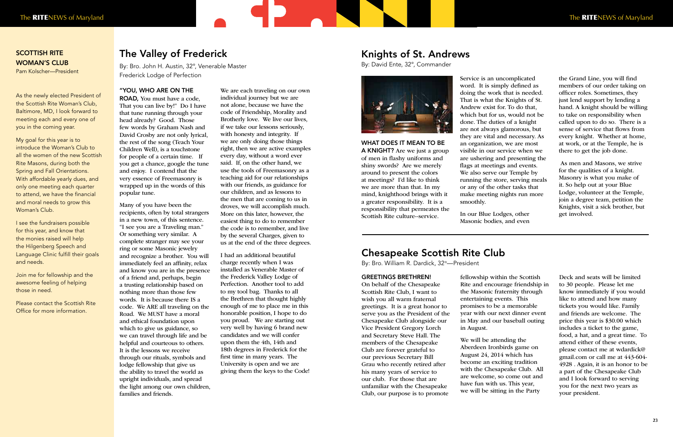#### "YOU, WHO ARE ON THE

ROAD, You must have a code, That you can live by!" Do I have that tune running through your head already? Good. Those few words by Graham Nash and David Crosby are not only lyrical, the rest of the song (Teach Your Children Well), is a touchstone for people of a certain time. If you get a chance, google the tune and enjoy. I contend that the very essence of Freemasonry is wrapped up in the words of this popular tune.

Many of you have been the recipients, often by total strangers in a new town, of this sentence. "I see you are a Traveling man." Or something very similar. A complete stranger may see your ring or some Masonic jewelry and recognize a brother. You will immediately feel an affinity, relax and know you are in the presence of a friend and, perhaps, begin a trusting relationship based on nothing more than those few words. It is because there IS a code. We ARE all traveling on the Road. We MUST have a moral and ethical foundation upon which to give us guidance, so we can travel through life and be helpful and courteous to others. It is the lessons we receive through our rituals, symbols and lodge fellowship that give us the ability to travel the world as upright individuals, and spread the light among our own children, families and friends.

We are each traveling on our own individual journey but we are not alone, because we have the code of Friendship, Morality and Brotherly love. We live our lives, if we take our lessons seriously, with honesty and integrity. If we are only doing those things right, then we are active examples every day, without a word ever said. If, on the other hand, we use the tools of Freemasonry as a teaching aid for our relationships with our friends, as guidance for our children, and as lessons to the men that are coming to us in droves, we will accomplish much. More on this later, however, the easiest thing to do to remember the code is to remember, and live by the several Charges, given to us at the end of the three degrees.

I had an additional beautiful charge recently when I was installed as Venerable Master of the Frederick Valley Lodge of Perfection. Another tool to add to my tool bag. Thanks to all the Brethren that thought highly enough of me to place me in this honorable position, I hope to do you proud. We are starting out very well by having 6 brand new candidates and we will confer upon them the 4th, 14th and 18th degrees in Frederick for the first time in many years. The University is open and we are giving them the keys to the Code!

## The Valley of Frederick

By: Bro. John H. Austin, 32°, Venerable Master Frederick Lodge of Perfection

> WHAT DOES IT MEAN TO BE A KNIGHT? Are we just a group of men in flashy uniforms and shiny swords? Are we merely around to present the colors at meetings? I'd like to think we are more than that. In my mind, knighthood brings with it a greater responsibility. It is a responsibility that permeates the Scottish Rite culture--service.

Service is an uncomplicated word. It is simply defined as doing the work that is needed. That is what the Knights of St. Andrew exist for. To do that, which but for us, would not be done. The duties of a knight are not always glamorous, but they are vital and necessary. As an organization, we are most visible in our service when we are ushering and presenting the flags at meetings and events. We also serve our Temple by running the store, serving meals or any of the other tasks that make meeting nights run more smoothly.

In our Blue Lodges, other Masonic bodies, and even the Grand Line, you will find members of our order taking on officer roles. Sometimes, they just lend support by lending a hand. A knight should be willing to take on responsibility when called upon to do so. There is a sense of service that flows from every knight. Whether at home, at work, or at the Temple, he is there to get the job done.

 As men and Masons, we strive for the qualities of a knight. Masonry is what you make of it. So help out at your Blue Lodge, volunteer at the Temple, join a degree team, petition the Knights, visit a sick brother, but get involved.

#### Knights of St. Andrews

By: David Ente, 32°, Commander



#### SCOTTISH RITE WOMAN'S CLUB

Pam Kolscher—President

As the newly elected President of the Scottish Rite Woman's Club, Baltimore, MD, I look forward to meeting each and every one of you in the coming year.

My goal for this year is to introduce the Woman's Club to all the women of the new Scottish Rite Masons, during both the Spring and Fall Orientations. With affordable yearly dues, and only one meeting each quarter to attend, we have the financial and moral needs to grow this Woman's Club.

I see the fundraisers possible for this year, and know that the monies raised will help the Hilgenberg Speech and Language Clinic fulfill their goals and needs.

Join me for fellowship and the awesome feeling of helping those in need.

Please contact the Scottish Rite Office for more information.

#### GREETINGS BRETHREN!

On behalf of the Chesapeake Scottish Rite Club, I want to wish you all warm fraternal greetings. It is a great honor to serve you as the President of the Chesapeake Club alongside our Vice President Gregory Lorch and Secretary Steve Hall. The members of the Chesapeake Club are forever grateful to our previous Secretary Bill Grau who recently retired after his many years of service to our club. For those that are unfamiliar with the Chesapeake Club, our purpose is to promote

fellowship within the Scottish Rite and encourage friendship in the Masonic fraternity through entertaining events. This promises to be a memorable year with our next dinner event in May and our baseball outing in August.

We will be attending the Aberdeen Ironbirds game on August 24, 2014 which has become an exciting tradition with the Chesapeake Club. All are welcome, so come out and have fun with us. This year, we will be sitting in the Party

Deck and seats will be limited to 30 people. Please let me know immediately if you would like to attend and how many tickets you would like. Family and friends are welcome. The price this year is \$30.00 which includes a ticket to the game, food, a hat, and a great time. To attend either of these events, please contact me at wdardick@ gmail.com or call me at 443-604- 4928 . Again, it is an honor to be a part of the Chesapeake Club and I look forward to serving you for the next two years as your president.

## Chesapeake Scottish Rite Club

By: Bro. William R. Dardick, 32°—President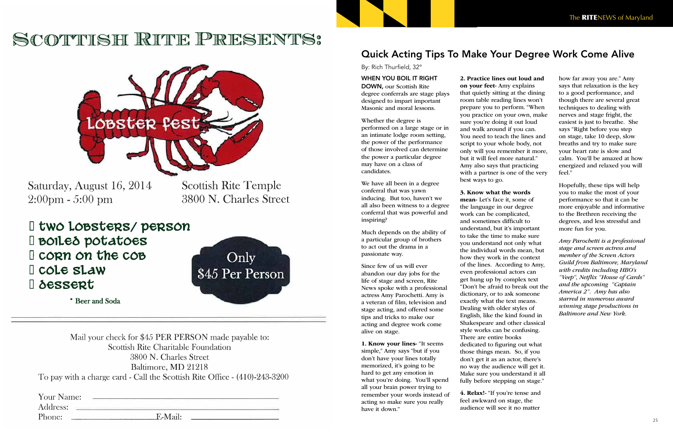## SCOTTISH RITE PRESENTS:



Saturday, August 16, 2014  $2:00 \text{pm} - 5:00 \text{pm}$ 

**Scottish Rite Temple** 3800 N. Charles Street

I two Lobsters/ person **I** BOILES potatoes I corn on the cob I cole slaw **D** dessert



\* Beer and Soda

Mail your check for \$45 PER PERSON made payable to: Scottish Rite Charitable Foundation 3800 N. Charles Street Baltimore, MD 21218 To pay with a charge card - Call the Scottish Rite Office - (410)-243-3200

Address: Phone:  $E-Mail:$  25

#### WHEN YOU BOIL IT RIGHT

DOWN, our Scottish Rite degree conferrals are stage plays designed to impart important Masonic and moral lessons.

Whether the degree is performed on a large stage or in an intimate lodge room setting, the power of the performance of those involved can determine the power a particular degree may have on a class of candidates.

We have all been in a degree conferral that was yawn inducing. But too, haven't we all also been witness to a degree conferral that was powerful and inspiring?

Much depends on the ability of a particular group of brothers to act out the drama in a passionate way.

Since few of us will ever abandon our day jobs for the life of stage and screen, Rite News spoke with a professional actress Amy Parochetti. Amy is a veteran of film, television and stage acting, and offered some tips and tricks to make our acting and degree work come alive on stage.

1. Know your lines- "It seems simple," Amy says "but if you don't have your lines totally memorized, it's going to be hard to get any emotion in what you're doing. You'll spend all your brain power trying to remember your words instead of acting so make sure you really have it down."

2. Practice lines out loud and on your feet- Amy explains that quietly sitting at the dining room table reading lines won't prepare you to perform. "When you practice on your own, make sure you're doing it out loud and walk around if you can. You need to teach the lines and script to your whole body, not only will you remember it more, but it will feel more natural." Amy also says that practicing with a partner is one of the very best ways to go.

3. Know what the words mean- Let's face it, some of the language in our degree work can be complicated, and sometimes difficult to understand, but it's important to take the time to make sure you understand not only what the individual words mean, but how they work in the context of the lines. According to Amy, even professional actors can get hung up by complex text "Don't be afraid to break out the dictionary, or to ask someone exactly what the text means. Dealing with older styles of English, like the kind found in Shakespeare and other classical style works can be confusing. There are entire books dedicated to figuring out what those things mean. So, if you don't get it as an actor, there's no way the audience will get it. Make sure you understand it all fully before stepping on stage."

4. Relax!- "If you're tense and feel awkward on stage, the audience will see it no matter

how far away you are." Amy says that relaxation is the key to a good performance, and though there are several great techniques to dealing with nerves and stage fright, the easiest is just to breathe. She says "Right before you step on stage, take 10 deep, slow breaths and try to make sure your heart rate is slow and calm. You'll be amazed at how energized and relaxed you will feel."

Hopefully, these tips will help you to make the most of your performance so that it can be more enjoyable and informative to the Brethren receiving the degrees, and less stressful and more fun for you.

Amy Parochetti is a professional stage and screen actress and member of the Screen Actors Guild from Baltimore, Maryland with credits including HBO's "Veep", Netflix "House of Cards" and the upcoming "Captain America 2". Amy has also starred in numerous award winning stage productions in Baltimore and New York.

Quick Acting Tips To Make Your Degree Work Come Alive

By: Rich Thurfield, 32°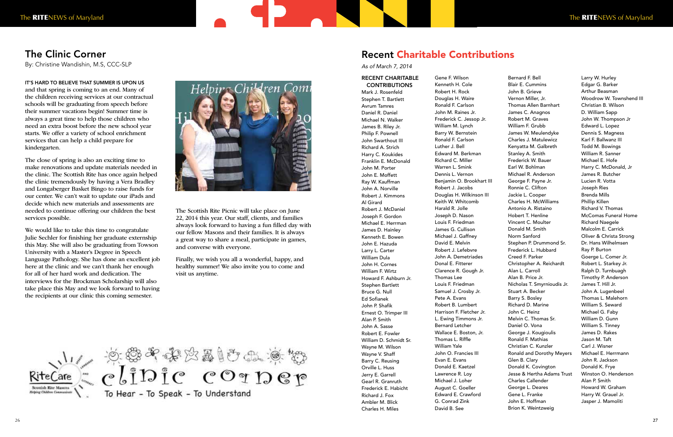IT'S HARD TO BELIEVE THAT SUMMER IS UPON US and that spring is coming to an end. Many of the children receiving services at our contractual schools will be graduating from speech before their summer vacations begin! Summer time is always a great time to help those children who need an extra boost before the new school year starts. We offer a variety of school enrichment services that can help a child prepare for kindergarten.

The close of spring is also an exciting time to make renovations and update materials needed in the clinic. The Scottish Rite has once again helped the clinic tremendously by having a Vera Bradley and Longaberger Basket Bingo to raise funds for our center. We can't wait to update our iPads and decide which new materials and assessments are needed to continue offering our children the best services possible.

#### RECENT CHARITABLE **CONTRIBUTIONS**

We would like to take this time to congratulate Julie Sechler for finishing her graduate externship this May. She will also be graduating from Towson University with a Master's Degree in Speech Language Pathology. She has done an excellent job here at the clinic and we can't thank her enough for all of her hard work and dedication. The interviews for the Brockman Scholarship will also take place this May and we look forward to having the recipients at our clinic this coming semester.



The Scottish Rite Picnic will take place on June 22, 2014 this year. Our staff, clients, and families always look forward to having a fun filled day with our fellow Masons and their families. It is always a great way to share a meal, participate in games, and converse with everyone.

Finally, we wish you all a wonderful, happy, and healthy summer! We also invite you to come and visit us anytime.

RiteCare & CLIDIC COTDEP To Hear - To Speak - To Understand

## The Clinic Corner

By: Christine Wandishin, M.S, CCC-SLP

Mark J. Rosenfeld Stephen T. Bartlett Avrum Tamres Daniel R. Daniel Michael N. Walker James B. Riley Jr. Philip F. Pownell John Swarthout III Richard A. Strich Harry C. Koukides Franklin E. McDonald John M. Porter John E. Moffett Ray W. Kauffman John A. Norville Robert J. Kimmons Al Girard Robert J. McDaniel Joseph F. Gordon Michael E. Herrman James D. Hainley Kenneth E. Bowen John E. Hazuda Larry L. Carter William Dula John H. Cornes William F. Wirtz Howard F. Ashburn Jr. Stephen Bartlett Bruce G. Null Ed Sofianek John P. Shafik Ernest O. Trimper III Alan P. Smith John A. Sasse Robert E. Fowler William D. Schmidt Sr. Wayne M. Wilson Wayne V. Shaff Barry C. Reusing Orville L. Huss Jerry E. Garrell Gearl R. Granruth Frederick E. Habicht Richard J. Fox Ambler M. Blick Charles H. Miles

Gene F. Wilson Kenneth H. Cole Robert H. Rock Douglas H. Waire Ronald F. Carlson John M. Raines Jr. Frederick C. Jessop Jr. William M. Lynch Barry W. Bernstein Ronald F. Carlson Luther J. Bell Edward M. Berkman Richard C. Miller Warren L. Smink Dennis L. Vernon Benjamin O. Brookhart III Robert J. Jacobs Douglas H. Wilkinson III Keith W. Whitcomb Harald R. Jolle Joseph D. Nason Louis F. Friedman James G. Cullison Michael J. Gaffney David E. Melvin Robert J. Lefebvre John A. Demetriades Donal E. Fitterer Clarence R. Gough Jr. Thomas Lee Louis F. Friedman Samuel J. Crosby Jr. Pete A. Evans Robert B. Lumbert Harrison F. Fletcher Jr. L. Ewing Timmons Jr. Bernard Letcher Wallace E. Boston, Jr. Thomas L. Riffle William Yale John O. Francies III Evan E. Evans Donald E. Kaetzel Lawrence R. Loy Michael J. Loher August C. Goeller Edward E. Crawford G. Conrad Zink David B. See

Bernard F. Bell Blair E. Cummins John B. Grieve Vernon Miller, Jr. Thomas Allen Barnhart James C. Anagnos Robert M. Graves William F. Grubb James W. Meulendyke Charles J. Matulewicz Kenyatta M. Galbreth Stanley A. Smith Frederick W. Bauer Earl W. Bohlman Michael R. Anderson George F. Payne Jr. Ronnie C. Clifton Jackie L. Cooper Charles H. McWilliams Antonio A. Ristaino Hobert T. Henline Vincent C. Moulter Donald M. Smith Norm Sanford Stephen P. Drummond Sr. Frederick L. Hubbard Creed F. Parker Christopher A. Reichardt Alan L. Carroll Alan B. Price Jr. Nicholas T. Smyrnioudis Jr. Stuart A. Becker Barry S. Bosley Richard D. Marine John C. Heinz Melvin C. Thomas Sr. Daniel O. Vona George J. Kougioulis Ronald F. Mathias Christian C. Kunzler Ronald and Dorothy Meyers Glen B. Clary Donald K. Covington Jesse & Hertha Adams Trust Charles Callender George L. Deares Gene L. Franke John E. Hoffman Brion K. Weintzweig

Larry W. Hurley Edgar G. Barker Arthur Beasman Woodrow W. Townshend III Christian B. Wilson D. William Sapp John W. Thompson Jr Edward L. Lopez Dennis S. Magness Karl F. Ballwanz III Todd M. Bowings William R. Sanner Michael E. Hofe Harry C. McDonald, Jr James R. Butcher Lucien R. Votta Joseph Ries Brenda Mills Phillip Killen Richard V. Thomas McComas Funeral Home Richard Naegele Malcolm E. Carrick Oliver & Christa Strong Dr. Hans Wilhelmsen Ray P. Burton Goerge L. Comer Jr. Robert L. Starkey Jr. Ralph D. Turnbuagh Timothy P. Anderson James T. Hill Jr. John A. Lugenbeel Thomas L. Malehorn William S. Seward Michael G. Faby William D. Gunn William S. Tinney James D. Rakes Jason M. Taft Carl J. Wisner Michael E. Herrmann John R. Jackson Donald K. Frye Winston O. Henderson Alan P. Smith Howard W. Graham Harry W. Grauel Jr. Jasper J. Mamoliti

#### Recent Charitable Contributions

#### As of March 7, 2014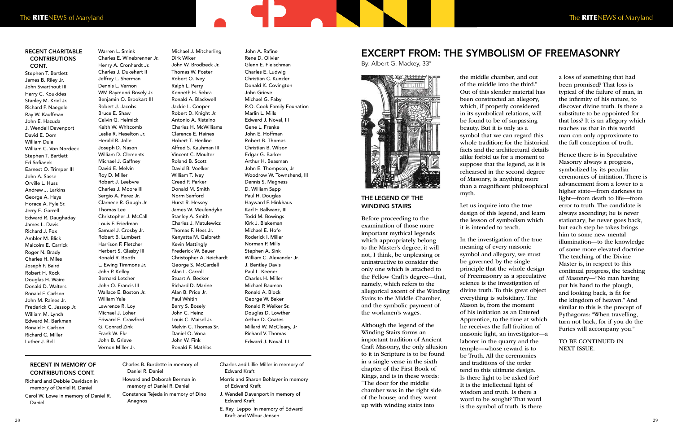#### THE LEGEND OF THE WINDING STAIRS

Before proceeding to the examination of those more important mythical legends which appropriately belong to the Master's degree, it will not, I think, be unpleasing or uninstructive to consider the only one which is attached to the Fellow Craft's degree—that, namely, which refers to the allegorical ascent of the Winding Stairs to the Middle Chamber, and the symbolic payment of the workmen's wages.

Although the legend of the Winding Stairs forms an important tradition of Ancient Craft Masonry, the only allusion to it in Scripture is to be found in a single verse in the sixth chapter of the First Book of Kings, and is in these words: "The door for the middle chamber was in the right side of the house; and they went up with winding stairs into

the middle chamber, and out of the middle into the third." Out of this slender material has been constructed an allegory, which, if properly considered in its symbolical relations, will be found to be of surpassing beauty. But it is only as a symbol that we can regard this whole tradition; for the historical facts and the architectural details alike forbid us for a moment to suppose that the legend, as it is rehearsed in the second degree of Masonry, is anything more than a magnificent philosophical myth.

Let us inquire into the true design of this legend, and learn the lesson of symbolism which it is intended to teach.

In the investigation of the true meaning of every masonic symbol and allegory, we must be governed by the single principle that the whole design of Freemasonry as a speculative science is the investigation of divine truth. To this great object everything is subsidiary. The Mason is, from the moment of his initiation as an Entered Apprentice, to the time at which he receives the full fruition of masonic light, an investigator—a laborer in the quarry and the temple—whose reward is to be Truth. All the ceremonies and traditions of the order tend to this ultimate design. Is there light to be asked for? It is the intellectual light of wisdom and truth. Is there a word to be sought? That word is the symbol of truth. Is there

a loss of something that had been promised? That loss is typical of the failure of man, in the infirmity of his nature, to discover divine truth. Is there a substitute to be appointed for that loss? It is an allegory which teaches us that in this world man can only approximate to the full conception of truth.

Hence there is in Speculative Masonry always a progress, symbolized by its peculiar ceremonies of initiation. There is advancement from a lower to a higher state—from darkness to light—from death to life—from error to truth. The candidate is always ascending; he is never stationary; he never goes back, but each step he takes brings him to some new mental illumination—to the knowledge of some more elevated doctrine. The teaching of the Divine Master is, in respect to this continual progress, the teaching of Masonry—"No man having put his hand to the plough, and looking back, is fit for the kingdom of heaven." And similar to this is the precept of Pythagoras: "When travelling, turn not back, for if you do the Furies will accompany you."

TO BE CONTINUED IN NEXT ISSUE.

#### EXCERPT FROM: THE SYMBOLISM OF FREEMASONRY

By: Albert G. Mackey, 33°



#### RECENT CHARITABLE **CONTRIBUTIONS** CONT.

Stephen T. Bartlett James B. Riley Jr. John Swarthout III Harry C. Koukides Stanley M. Kriel Jr. Richard P. Naegele Ray W. Kauffman John E. Hazuda J. Wendell Davenport David E. Dom William Dula William C. Von Nordeck Stephen T. Bartlett Ed Sofianek Earnest O. Trimper III John A. Sasse Orville L. Huss Andrew J. Larkins George A. Hays Horace A. Fyle Sr. Jerry E. Garrell Edward R. Daughaday James L. Davis Richard J. Fox Ambler M. Blick Malcolm E. Carrick Roger N. Brady Charles H. Miles Joseph F. Baird Robert H. Rock Douglas H. Waire Donald D. Walters Ronald F. Carlson John M. Raines Jr. Frederick C. Jessop Jr. William M. Lynch Edward M. Berkman Ronald F. Carlson Richard C. Miller Luther J. Bell

Warren L. Smink Charles E. Winebrenner Jr. Henry A. Cronhardt Jr. Charles J. Dukehart II Jeffrey L. Sherman Dennis L. Vernon WM Raymond Bosely Jr. Benjamin O. Brookart III Robert J. Jacobs Bruce E. Shaw Calvin G. Helmick Keith W. Whitcomb Leslie R. Heselton Jr. Herald R. Jolle Joseph D. Nason William D. Clements Michael J. Gaffney David E. Melvin Roy D. Miller Robert J. Leebvre Charles J. Moore III Sergio A. Perez Jr. Clarnece R. Gough Jr. Thomas Lee Christopher J. McCall Louis F. Friedman Samuel J. Crosby Jr. Robert B. Lumbert Harrison F. Fletcher Herbert S. Glasby III Ronald R. Booth L. Ewing Timmons Jr. John P. Kelley Bernard Letcher John O. Francis III Wallace E. Boston Jr. William Yale Lawrence R. Loy Michael J. Loher Edward E. Crawford G. Conrad Zink Frank W. Ekr John B. Grieve Vernon Miller Jr.

Michael J. Mitcherling Dirk Wiker John W. Brodbeck Jr. Thomas W. Foster Robert O. Ivey Ralph L. Perry Kenneth H. Sebra Ronald A. Blackwell Jackie L. Cooper Robert D. Knight Jr. Antonio A. Ristaino Charles H. McWilliams Clarence E. Haines Hobert T. Henline Alfred S. Kauhman III Vincent C. Moulter Roland B. Scott David B. Voelker William T. Ivey Creed F. Parker Donald M. Smith Norm Sanford Hurst R. Hessey James W. Meulendyke Stanley A. Smith Charles J. Matulewicz Thomas F. Hess Jr. Kenyatta M. Galbreth Kevin Mattingly Frederick W. Bauer Christopher A. Reichardt George S. McCardell Alan L. Carroll Stuart A. Becker Richard D. Marine Alan B. Price Jr. Paul Whitin Barry S. Bosely John C. Heinz Louis C. Maisel Jr. Melvin C. Thomas Sr. Daniel O. Vona John W. Fink Ronald F. Mathias

John A. Rafine

Rene D. Olivier Glenn E. Fleischman Charles E. Ludwig Christian C. Kunzler Donald K. Covington John Grieve Michael G. Faby R.O. Cook Family Founation Marlin L. Mills Edward J. Noval, III Gene L. Franke John E. Hoffman Robert B. Thomas Christian B. Wilson Edgar G. Barker Arthur H. Beasman John E. Thompson, Jr Woodrow W. Townshend, III Dennis S. Magness D. William Sapp Paul H. Douglas Hayward F. Hinkhaus Karl F. Ballwanz, III Todd M. Bowings Kirk J. Blakeman Michael E. Hofe Roderick I. Miller Norman P. Mills Stephen A. Sink William C. Alexander Jr. J. Bentley Davis Paul L. Keener Charles H. Miller Michael Bauman Ronald A. Block George W. Baker Ronald P. Welker Sr. Douglas D. Lowther Arthur D. Coates Millard W. McCleary, Jr Richard V. Thomas Edward J. Noval. III

#### RECENT IN MEMORY OF CONTRIBUTIONS CONT.

Richard and Debbie Davidson in memory of Daniel R. Daniel Carol W. Lowe in memory of Daniel R. Daniel

Charles B. Burdette in memory of Daniel R. Daniel Howard and Deborah Berman in memory of Daniel R. Daniel Constance Tejeda in memory of Dino Anagnos

Charles and Lillie Miller in memory of Edward Kraft Morris and Sharon Bohlayer in memory of Edward Kraft J. Wendell Davenport in memory of Edward Kraft

E. Ray Leppo in memory of Edward Kraft and Wilbur Jensen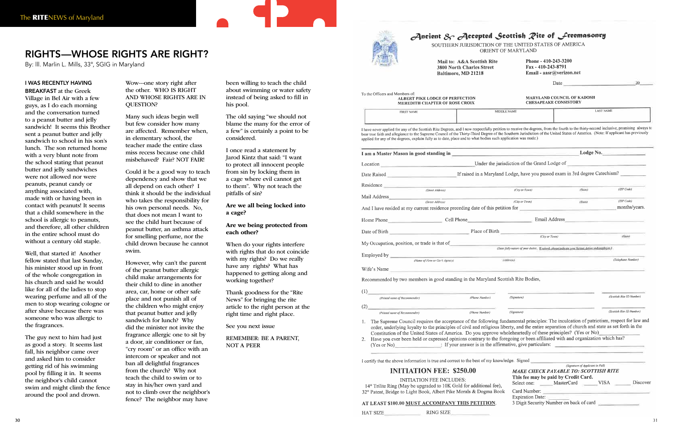#### I WAS RECENTLY HAVING

BREAKFAST at the Greek Village in Bel Air with a few guys, as I do each morning and the conversation turned to a peanut butter and jelly sandwich! It seems this Brother sent a peanut butter and jelly sandwich to school in his son's lunch. The son returned home with a very blunt note from the school stating that peanut butter and jelly sandwiches were not allowed nor were peanuts, peanut candy or anything associated with, made with or having been in contact with peanuts! It seems that a child somewhere in the school is allergic to peanuts, and therefore, all other children in the entire school must do without a century old staple.

Well, that started it! Another fellow stated that last Sunday, his minister stood up in front of the whole congregation in his church and said he would like for all of the ladies to stop wearing perfume and all of the men to stop wearing cologne or after shave because there was someone who was allergic to the fragrances.

The guy next to him had just as good a story. It seems last fall, his neighbor came over and asked him to consider getting rid of his swimming pool by filling it in. It seems the neighbor's child cannot swim and might climb the fence around the pool and drown.

Wow---one story right after the other. WHO IS RIGHT AND WHOSE RIGHTS ARE IN QUESTION?

Many such ideas begin well but few consider how many are affected. Remember when, in elementary school, the teacher made the entire class miss recess because one child misbehaved? Fair? NOT FAIR!

Could it be a good way to teach dependency and show that we all depend on each other? I think it should be the individual who takes the responsibility for his own personal needs. No, that does not mean I want to see the child hurt because of peanut butter, an asthma attack for smelling perfume, nor the child drown because he cannot swim.

However, why can't the parent of the peanut butter allergic child make arrangements for their child to dine in another area, car, home or other safe place and not punish all of the children who might enjoy that peanut butter and jelly sandwich for lunch? Why did the minister not invite the fragrance allergic one to sit by a door, air conditioner or fan, "cry room" or an office with an intercom or speaker and not ban all delightful fragrances from the church? Why not teach the child to swim or to stay in his/her own yard and not to climb over the neighbor's fence? The neighbor may have

been willing to teach the child about swimming or water safety instead of being asked to fill in his pool.

The old saying "we should not blame the many for the error of a few" is certainly a point to be considered.

I once read a statement by Jarod Kintz that said: "I want to protect all innocent people from sin by locking them in a cage where evil cannot get to them". Why not teach the pitfalls of sin?

#### Are we all being locked into a cage?

#### Are we being protected from each other?

When do your rights interfere with rights that do not coincide with my rights? Do we really have any rights? What has happened to getting along and working together?

Thank goodness for the "Rite News" for bringing the rite article to the right person at the right time and right place.

See you next issue

REMEMBER: BE A PARENT, NOT A PEER



|                                                                                                                                                                                                                                      | Ancient $\mathcal{S}_{\widehat{\mathcal{T}}}$ Accepted Scottish Pite of Freemasonry<br>SOUTHERN JURISDICTION OF THE UNITED STATES OF AMERICA<br>ORIENT OF MARYLAND                                                                                                                                                                                                                                                                                                                                                                                                                                   |                                                                                                   |                                  |                             |
|--------------------------------------------------------------------------------------------------------------------------------------------------------------------------------------------------------------------------------------|------------------------------------------------------------------------------------------------------------------------------------------------------------------------------------------------------------------------------------------------------------------------------------------------------------------------------------------------------------------------------------------------------------------------------------------------------------------------------------------------------------------------------------------------------------------------------------------------------|---------------------------------------------------------------------------------------------------|----------------------------------|-----------------------------|
|                                                                                                                                                                                                                                      | Mail to: A&A Scottish Rite<br><b>3800 North Charles Street</b><br><b>Baltimore, MD 21218</b>                                                                                                                                                                                                                                                                                                                                                                                                                                                                                                         | Phone - 410-243-3200<br>Fax - 410-243-8791<br>Email - aasr@verizon.net                            |                                  |                             |
|                                                                                                                                                                                                                                      |                                                                                                                                                                                                                                                                                                                                                                                                                                                                                                                                                                                                      |                                                                                                   |                                  | Date $20$                   |
| the Officers and Members of:                                                                                                                                                                                                         | <b>ALBERT PIKE LODGE OF PERFECTION</b><br><b>MEREDITH CHAPTER OF ROSE CROIX</b>                                                                                                                                                                                                                                                                                                                                                                                                                                                                                                                      | <b>MARYLAND COUNCIL OF KADOSH</b><br><b>CHESAPEAKE CONSISTORY</b>                                 |                                  |                             |
| <b>FIRST NAME</b>                                                                                                                                                                                                                    | MIDDLE NAME                                                                                                                                                                                                                                                                                                                                                                                                                                                                                                                                                                                          |                                                                                                   |                                  | <b>LAST NAME</b>            |
|                                                                                                                                                                                                                                      | have never applied for any of the Scottish Rite Degrees, and I now respectfully petition to receive the degrees, from the fourth to the thirty-second inclusive, promising always to<br>ar true faith and allegiance to the Supreme Council of the Thirty-Third Degree of the Southern Jurisdiction of the United States of America. (Note: If applicant has previously<br>plied for any of the degrees, explain fully as to date, place and to what bodies such application was made.)                                                                                                              |                                                                                                   |                                  |                             |
|                                                                                                                                                                                                                                      |                                                                                                                                                                                                                                                                                                                                                                                                                                                                                                                                                                                                      |                                                                                                   |                                  |                             |
|                                                                                                                                                                                                                                      | Ocation Under the jurisdiction of the Grand Lodge of                                                                                                                                                                                                                                                                                                                                                                                                                                                                                                                                                 |                                                                                                   |                                  |                             |
|                                                                                                                                                                                                                                      | ate Raised <b>Exercise 2021</b> If raised in a Maryland Lodge, have you passed exam in 3rd degree Catechism?                                                                                                                                                                                                                                                                                                                                                                                                                                                                                         |                                                                                                   |                                  |                             |
|                                                                                                                                                                                                                                      | esidence<br>Street Address)                                                                                                                                                                                                                                                                                                                                                                                                                                                                                                                                                                          |                                                                                                   |                                  |                             |
| Iail Address                                                                                                                                                                                                                         |                                                                                                                                                                                                                                                                                                                                                                                                                                                                                                                                                                                                      | (City or Town)                                                                                    | (State)                          | (ZIP Code)                  |
|                                                                                                                                                                                                                                      | (Street Address)                                                                                                                                                                                                                                                                                                                                                                                                                                                                                                                                                                                     | (City or Town)                                                                                    | (San)                            | (ZIP Code)<br>months/years. |
|                                                                                                                                                                                                                                      | nd I have resided at my current residence preceding date of this petition for                                                                                                                                                                                                                                                                                                                                                                                                                                                                                                                        |                                                                                                   |                                  |                             |
| the control of the control of<br>ome Phone                                                                                                                                                                                           | Cell Phone                                                                                                                                                                                                                                                                                                                                                                                                                                                                                                                                                                                           | Email Address                                                                                     |                                  |                             |
|                                                                                                                                                                                                                                      | Place of Birth Place of Birth                                                                                                                                                                                                                                                                                                                                                                                                                                                                                                                                                                        | (City or Town)                                                                                    |                                  | (SMW)                       |
| Iy Occupation, position, or trade is that of                                                                                                                                                                                         |                                                                                                                                                                                                                                                                                                                                                                                                                                                                                                                                                                                                      | (State fully nature of your duties. If retired, please indicate your former duties and employer.) |                                  |                             |
| mployed by <b>the contract of the contract of the contract of the contract of the contract of the contract of the contract of the contract of the contract of the contract of the contract of the contract of the contract of th</b> |                                                                                                                                                                                                                                                                                                                                                                                                                                                                                                                                                                                                      |                                                                                                   |                                  |                             |
|                                                                                                                                                                                                                                      | (dddress)<br>(Name of Firm or Gov't Agency)                                                                                                                                                                                                                                                                                                                                                                                                                                                                                                                                                          |                                                                                                   |                                  | (Telephone Number)          |
| life's Name                                                                                                                                                                                                                          | ecommended by two members in good standing in the Maryland Scottish Rite Bodies,                                                                                                                                                                                                                                                                                                                                                                                                                                                                                                                     |                                                                                                   |                                  |                             |
| (Printed name of Recommender)                                                                                                                                                                                                        | (Phone Number)                                                                                                                                                                                                                                                                                                                                                                                                                                                                                                                                                                                       | (Signature)                                                                                       |                                  | (Scottish Rite ID Number    |
|                                                                                                                                                                                                                                      |                                                                                                                                                                                                                                                                                                                                                                                                                                                                                                                                                                                                      |                                                                                                   |                                  |                             |
| (Printed name of Recommender)                                                                                                                                                                                                        | (Phone Number)                                                                                                                                                                                                                                                                                                                                                                                                                                                                                                                                                                                       | (Signature)                                                                                       |                                  | (Scottish Rite ID Number)   |
| (Yes or No)                                                                                                                                                                                                                          | The Supreme Council requires the acceptance of the following fundamental principles: The inculcation of patriotism, respect for law and<br>order, underlying loyalty to the principles of civil and religious liberty, and the entire separation of church and state as set forth in the<br>Constitution of the United States of America. Do you approve wholeheartedly of these principles? (Yes or No)<br>Have you ever been held or expressed opinions contrary to the foregoing or been affiliated with and organization which has?<br>: If your answer is in the affirmative, give particulars: |                                                                                                   |                                  |                             |
|                                                                                                                                                                                                                                      |                                                                                                                                                                                                                                                                                                                                                                                                                                                                                                                                                                                                      |                                                                                                   |                                  |                             |
|                                                                                                                                                                                                                                      | certify that the above information is true and correct to the best of my knowledge. Signed                                                                                                                                                                                                                                                                                                                                                                                                                                                                                                           |                                                                                                   | (Signature of Applicant in Full) |                             |
|                                                                                                                                                                                                                                      | <b>INITIATION FEE: \$250.00</b>                                                                                                                                                                                                                                                                                                                                                                                                                                                                                                                                                                      | MAKE CHECK PAYABLE TO: SCOTTISH RITE<br>This fee may be paid by Credit Card.                      |                                  |                             |
|                                                                                                                                                                                                                                      | <b>INITIATION FEE INCLUDES:</b><br>14° Trilite Ring (May be upgraded to 10K Gold for additional fee),<br>2° Patent, Bridge to Light Book, Albert Pike Morals & Dogma Book                                                                                                                                                                                                                                                                                                                                                                                                                            | MasterCard<br>Select one:<br>Card Number:                                                         | <b>VISA</b>                      | Discover                    |
|                                                                                                                                                                                                                                      |                                                                                                                                                                                                                                                                                                                                                                                                                                                                                                                                                                                                      | <b>Expiration Date:</b>                                                                           |                                  |                             |
|                                                                                                                                                                                                                                      | T LEAST \$100.00 MUST ACCOMPANY THIS PETITION.                                                                                                                                                                                                                                                                                                                                                                                                                                                                                                                                                       | 3 Digit Security Number on back of card                                                           |                                  |                             |

|                                              | Ancient $\mathcal{S}_{\widehat{\mathcal{T}}}$ Accepted Scottish $\mathcal{R}$ ite of Freemasonry<br>SOUTHERN JURISDICTION OF THE UNITED STATES OF AMERICA<br>ORIENT OF MARYLAND                                                                                                                                                                                                                                                                                                                                                                                                                      |                                                                                                              |                                                                                                                                                                                                                                |                             |
|----------------------------------------------|------------------------------------------------------------------------------------------------------------------------------------------------------------------------------------------------------------------------------------------------------------------------------------------------------------------------------------------------------------------------------------------------------------------------------------------------------------------------------------------------------------------------------------------------------------------------------------------------------|--------------------------------------------------------------------------------------------------------------|--------------------------------------------------------------------------------------------------------------------------------------------------------------------------------------------------------------------------------|-----------------------------|
|                                              | Mail to: A&A Scottish Rite<br><b>3800 North Charles Street</b><br>Baltimore, MD 21218                                                                                                                                                                                                                                                                                                                                                                                                                                                                                                                | Phone - 410-243-3200<br>Fax - 410-243-8791<br>Email - aasr@verizon.net                                       |                                                                                                                                                                                                                                |                             |
|                                              |                                                                                                                                                                                                                                                                                                                                                                                                                                                                                                                                                                                                      |                                                                                                              | Date and the contract of the contract of the contract of the contract of the contract of the contract of the contract of the contract of the contract of the contract of the contract of the contract of the contract of the c | $-20$                       |
| To the Officers and Members of:              | <b>ALBERT PIKE LODGE OF PERFECTION</b><br><b>MEREDITH CHAPTER OF ROSE CROIX</b>                                                                                                                                                                                                                                                                                                                                                                                                                                                                                                                      | <b>MARYLAND COUNCIL OF KADOSH</b><br><b>CHESAPEAKE CONSISTORY</b>                                            |                                                                                                                                                                                                                                |                             |
| <b>FIRST NAME</b>                            | MIDDLE NAME                                                                                                                                                                                                                                                                                                                                                                                                                                                                                                                                                                                          |                                                                                                              | <b>LAST NAME</b>                                                                                                                                                                                                               |                             |
|                                              | I have never applied for any of the Scottish Rite Degrees, and I now respectfully petition to receive the degrees, from the fourth to the thirty-second inclusive, promising always to<br>bear true faith and allegiance to the Supreme Council of the Thirty-Third Degree of the Southern Jurisdiction of the United States of America. (Note: If applicant has previously<br>applied for any of the degrees, explain fully as to date, place and to what bodies such application was made.)                                                                                                        |                                                                                                              |                                                                                                                                                                                                                                |                             |
|                                              | I am a Master Mason in good standing in <b>Example 2018</b> Lodge No.                                                                                                                                                                                                                                                                                                                                                                                                                                                                                                                                |                                                                                                              |                                                                                                                                                                                                                                |                             |
|                                              | Location Under the jurisdiction of the Grand Lodge of                                                                                                                                                                                                                                                                                                                                                                                                                                                                                                                                                |                                                                                                              |                                                                                                                                                                                                                                |                             |
|                                              | Date Raised Catechism?                                                                                                                                                                                                                                                                                                                                                                                                                                                                                                                                                                               |                                                                                                              |                                                                                                                                                                                                                                |                             |
|                                              | Residence (Street Address)                                                                                                                                                                                                                                                                                                                                                                                                                                                                                                                                                                           |                                                                                                              |                                                                                                                                                                                                                                |                             |
| Mail Address                                 |                                                                                                                                                                                                                                                                                                                                                                                                                                                                                                                                                                                                      | (City or Town)                                                                                               | (State)                                                                                                                                                                                                                        | (ZIP Code)                  |
|                                              | (Street Address)<br>And I have resided at my current residence preceding date of this petition for                                                                                                                                                                                                                                                                                                                                                                                                                                                                                                   | (City or Town)                                                                                               | (Share)                                                                                                                                                                                                                        | (ZIP Code)<br>months/years. |
|                                              | Home Phone <b>Example 2018</b> Cell Phone <b>Cell Phone</b>                                                                                                                                                                                                                                                                                                                                                                                                                                                                                                                                          | Email Address                                                                                                |                                                                                                                                                                                                                                |                             |
|                                              | Date of Birth Place of Birth                                                                                                                                                                                                                                                                                                                                                                                                                                                                                                                                                                         |                                                                                                              |                                                                                                                                                                                                                                |                             |
| My Occupation, position, or trade is that of |                                                                                                                                                                                                                                                                                                                                                                                                                                                                                                                                                                                                      | (City or Town)                                                                                               |                                                                                                                                                                                                                                | <b>COMMY</b>                |
| Employed by                                  |                                                                                                                                                                                                                                                                                                                                                                                                                                                                                                                                                                                                      | (State fully nature of your duties. If retired, please indicate your former duties and employer.)            |                                                                                                                                                                                                                                |                             |
|                                              | (dddress)<br>(Name of Firm or Gov't Agency)                                                                                                                                                                                                                                                                                                                                                                                                                                                                                                                                                          |                                                                                                              |                                                                                                                                                                                                                                | (Telephone Number)          |
| Wife's Name                                  |                                                                                                                                                                                                                                                                                                                                                                                                                                                                                                                                                                                                      |                                                                                                              |                                                                                                                                                                                                                                |                             |
|                                              | Recommended by two members in good standing in the Maryland Scottish Rite Bodies,                                                                                                                                                                                                                                                                                                                                                                                                                                                                                                                    |                                                                                                              |                                                                                                                                                                                                                                |                             |
| (1)<br>(Printed name of Recommender)         | (Phone Number)                                                                                                                                                                                                                                                                                                                                                                                                                                                                                                                                                                                       | (Signature)                                                                                                  |                                                                                                                                                                                                                                | (Scottish Rite ID Number)   |
| (2)                                          |                                                                                                                                                                                                                                                                                                                                                                                                                                                                                                                                                                                                      |                                                                                                              |                                                                                                                                                                                                                                |                             |
| (Printed name of Recommender)                | (Phone Number)                                                                                                                                                                                                                                                                                                                                                                                                                                                                                                                                                                                       | (Signature)                                                                                                  |                                                                                                                                                                                                                                | (Scottish Rite ID Number)   |
| 1.<br>2.<br>$(Yes$ or $No)$                  | The Supreme Council requires the acceptance of the following fundamental principles: The inculcation of patriotism, respect for law and<br>order, underlying loyalty to the principles of civil and religious liberty, and the entire separation of church and state as set forth in the<br>Constitution of the United States of America. Do you approve wholeheartedly of these principles? (Yes or No)<br>Have you ever been held or expressed opinions contrary to the foregoing or been affiliated with and organization which has?<br>: If your answer is in the affirmative, give particulars: |                                                                                                              |                                                                                                                                                                                                                                |                             |
|                                              | I certify that the above information is true and correct to the best of my knowledge. Signed                                                                                                                                                                                                                                                                                                                                                                                                                                                                                                         |                                                                                                              |                                                                                                                                                                                                                                |                             |
|                                              | <b>INITIATION FEE: \$250.00</b>                                                                                                                                                                                                                                                                                                                                                                                                                                                                                                                                                                      | <b>MAKE CHECK PAYABLE TO: SCOTTISH RITE</b>                                                                  | (Signature of Applicant in Full)                                                                                                                                                                                               |                             |
|                                              | <b>INITIATION FEE INCLUDES:</b><br>14° Trilite Ring (May be upgraded to 10K Gold for additional fee),<br>32° Patent, Bridge to Light Book, Albert Pike Morals & Dogma Book                                                                                                                                                                                                                                                                                                                                                                                                                           | This fee may be paid by Credit Card.<br>Select one:<br>MasterCard<br>Card Number:<br><b>Expiration Date:</b> | VISA                                                                                                                                                                                                                           | Discover                    |
|                                              | AT LEAST \$100.00 MUST ACCOMPANY THIS PETITION.                                                                                                                                                                                                                                                                                                                                                                                                                                                                                                                                                      | 3 Digit Security Number on back of card                                                                      |                                                                                                                                                                                                                                |                             |

- 
- 

HAT SIZE **RING SIZE** 

#### RIGHTS—WHOSE RIGHTS ARE RIGHT?

By: lll. Marlin L. Mills, 33°, SGIG in Maryland